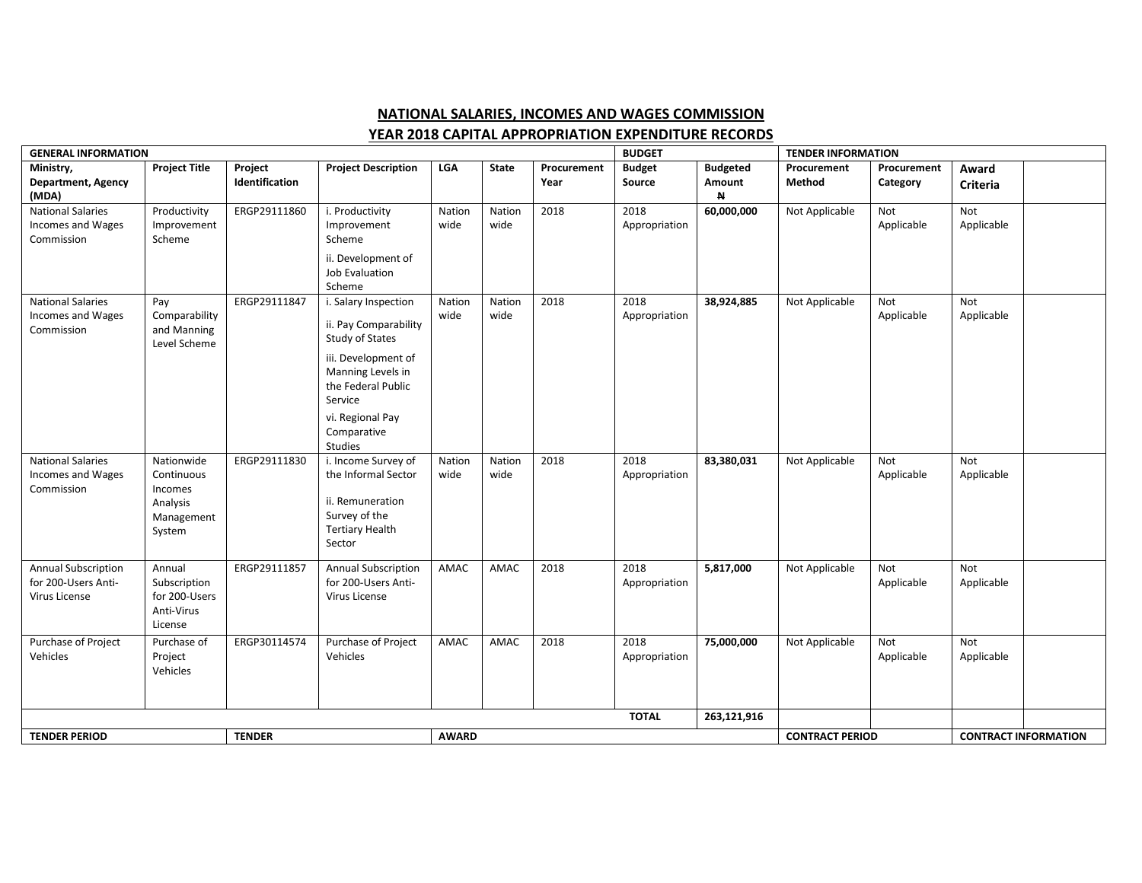## **NATIONAL SALARIES, INCOMES AND WAGES COMMISSION**

## **YEAR 2018 CAPITAL APPROPRIATION EXPENDITURE RECORDS**

| <b>GENERAL INFORMATION</b>                                         |                                                                         |                           |                                                                                                                                                                                             |                |                |                     |                         | <b>BUDGET</b>                             |                       | <b>TENDER INFORMATION</b>   |                   |  |  |
|--------------------------------------------------------------------|-------------------------------------------------------------------------|---------------------------|---------------------------------------------------------------------------------------------------------------------------------------------------------------------------------------------|----------------|----------------|---------------------|-------------------------|-------------------------------------------|-----------------------|-----------------------------|-------------------|--|--|
| Ministry,<br>Department, Agency<br>(MDA)                           | <b>Project Title</b>                                                    | Project<br>Identification | <b>Project Description</b>                                                                                                                                                                  | <b>LGA</b>     | <b>State</b>   | Procurement<br>Year | <b>Budget</b><br>Source | <b>Budgeted</b><br>Amount<br>$\mathsf{N}$ | Procurement<br>Method | Procurement<br>Category     | Award<br>Criteria |  |  |
| <b>National Salaries</b><br>Incomes and Wages<br>Commission        | Productivity<br>Improvement<br>Scheme                                   | ERGP29111860              | i. Productivity<br>Improvement<br>Scheme<br>ii. Development of<br>Job Evaluation<br>Scheme                                                                                                  | Nation<br>wide | Nation<br>wide | 2018                | 2018<br>Appropriation   | 60,000,000                                | Not Applicable        | Not<br>Applicable           | Not<br>Applicable |  |  |
| <b>National Salaries</b><br>Incomes and Wages<br>Commission        | Pay<br>Comparability<br>and Manning<br>Level Scheme                     | ERGP29111847              | i. Salary Inspection<br>ii. Pay Comparability<br>Study of States<br>iii. Development of<br>Manning Levels in<br>the Federal Public<br>Service<br>vi. Regional Pay<br>Comparative<br>Studies | Nation<br>wide | Nation<br>wide | 2018                | 2018<br>Appropriation   | 38,924,885                                | Not Applicable        | Not<br>Applicable           | Not<br>Applicable |  |  |
| <b>National Salaries</b><br>Incomes and Wages<br>Commission        | Nationwide<br>Continuous<br>Incomes<br>Analysis<br>Management<br>System | ERGP29111830              | i. Income Survey of<br>the Informal Sector<br>ii. Remuneration<br>Survey of the<br><b>Tertiary Health</b><br>Sector                                                                         | Nation<br>wide | Nation<br>wide | 2018                | 2018<br>Appropriation   | 83,380,031                                | Not Applicable        | Not<br>Applicable           | Not<br>Applicable |  |  |
| <b>Annual Subscription</b><br>for 200-Users Anti-<br>Virus License | Annual<br>Subscription<br>for 200-Users<br>Anti-Virus<br>License        | ERGP29111857              | <b>Annual Subscription</b><br>for 200-Users Anti-<br>Virus License                                                                                                                          | AMAC           | AMAC           | 2018                | 2018<br>Appropriation   | 5,817,000                                 | Not Applicable        | Not<br>Applicable           | Not<br>Applicable |  |  |
| Purchase of Project<br>Vehicles                                    | Purchase of<br>Project<br>Vehicles                                      | ERGP30114574              | Purchase of Project<br>Vehicles                                                                                                                                                             | AMAC           | AMAC           | 2018                | 2018<br>Appropriation   | 75,000,000                                | Not Applicable        | Not<br>Applicable           | Not<br>Applicable |  |  |
|                                                                    |                                                                         |                           |                                                                                                                                                                                             |                |                |                     |                         | 263,121,916                               |                       |                             |                   |  |  |
| <b>TENDER PERIOD</b>                                               |                                                                         | <b>TENDER</b>             | <b>AWARD</b>                                                                                                                                                                                |                |                |                     |                         | <b>CONTRACT PERIOD</b>                    |                       | <b>CONTRACT INFORMATION</b> |                   |  |  |